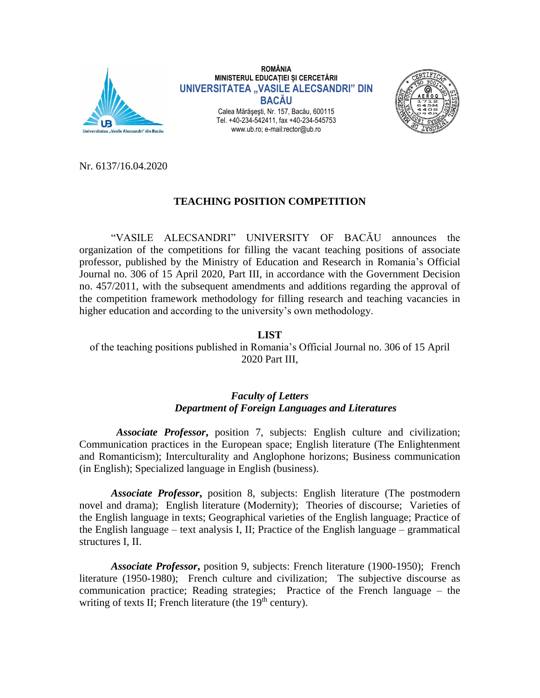

**ROMÂNIA MINISTERUL EDUCAȚIEI ȘI CERCETĂRII UNIVERSITATEA "VASILE ALECSANDRI" DIN BACĂU** Calea Mărăşeşti, Nr. 157, Bacău, 600115

Tel. +40-234-542411, fax +40-234-545753 www.ub.ro; e-mail:rector@ub.ro



Nr. 6137/16.04.2020

## **TEACHING POSITION COMPETITION**

"VASILE ALECSANDRI" UNIVERSITY OF BACĂU announces the organization of the competitions for filling the vacant teaching positions of associate professor, published by the Ministry of Education and Research in Romania's Official Journal no. 306 of 15 April 2020, Part III, in accordance with the Government Decision no. 457/2011, with the subsequent amendments and additions regarding the approval of the competition framework methodology for filling research and teaching vacancies in higher education and according to the university's own methodology.

## **LIST**

of the teaching positions published in Romania's Official Journal no. 306 of 15 April 2020 Part III,

## *Faculty of Letters Department of Foreign Languages and Literatures*

 *Associate Professor***,** position 7, subjects: English culture and civilization; Communication practices in the European space; English literature (The Enlightenment and Romanticism); Interculturality and Anglophone horizons; Business communication (in English); Specialized language in English (business).

*Associate Professor***,** position 8, subjects: English literature (The postmodern novel and drama); English literature (Modernity); Theories of discourse; Varieties of the English language in texts; Geographical varieties of the English language; Practice of the English language – text analysis I, II; Practice of the English language – grammatical structures I, II.

*Associate Professor***,** position 9, subjects: French literature (1900-1950); French literature (1950-1980); French culture and civilization; The subjective discourse as communication practice; Reading strategies; Practice of the French language – the writing of texts II; French literature (the 19<sup>th</sup> century).